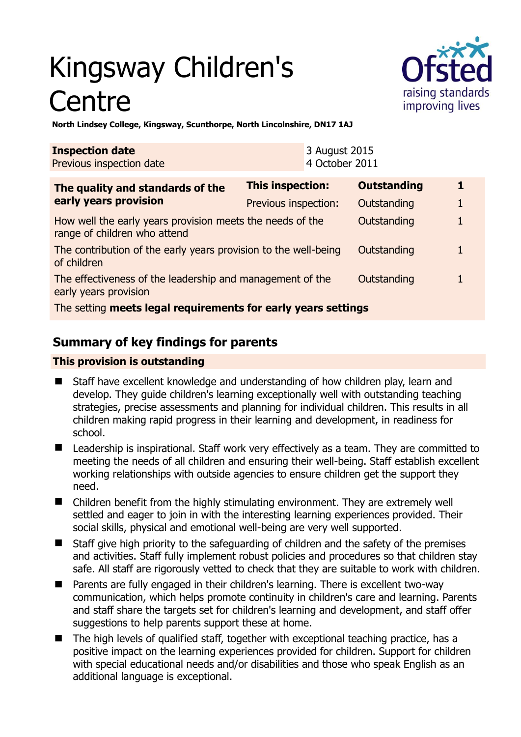# Kingsway Children's **Centre**



**North Lindsey College, Kingsway, Scunthorpe, North Lincolnshire, DN17 1AJ** 

| <b>Inspection date</b><br>Previous inspection date                                        |                      | 3 August 2015<br>4 October 2011 |                    |  |
|-------------------------------------------------------------------------------------------|----------------------|---------------------------------|--------------------|--|
| The quality and standards of the<br>early years provision                                 | This inspection:     |                                 | <b>Outstanding</b> |  |
|                                                                                           | Previous inspection: |                                 | Outstanding        |  |
| How well the early years provision meets the needs of the<br>range of children who attend |                      |                                 | Outstanding        |  |
| The contribution of the early years provision to the well-being<br>of children            |                      |                                 | Outstanding        |  |
| The effectiveness of the leadership and management of the<br>early years provision        |                      |                                 | Outstanding        |  |
| The setting meets legal requirements for early years settings                             |                      |                                 |                    |  |

## **Summary of key findings for parents**

#### **This provision is outstanding**

- Staff have excellent knowledge and understanding of how children play, learn and develop. They guide children's learning exceptionally well with outstanding teaching strategies, precise assessments and planning for individual children. This results in all children making rapid progress in their learning and development, in readiness for school.
- Leadership is inspirational. Staff work very effectively as a team. They are committed to meeting the needs of all children and ensuring their well-being. Staff establish excellent working relationships with outside agencies to ensure children get the support they need.
- Children benefit from the highly stimulating environment. They are extremely well settled and eager to join in with the interesting learning experiences provided. Their social skills, physical and emotional well-being are very well supported.
- Staff give high priority to the safeguarding of children and the safety of the premises and activities. Staff fully implement robust policies and procedures so that children stay safe. All staff are rigorously vetted to check that they are suitable to work with children.
- Parents are fully engaged in their children's learning. There is excellent two-way communication, which helps promote continuity in children's care and learning. Parents and staff share the targets set for children's learning and development, and staff offer suggestions to help parents support these at home.
- The high levels of qualified staff, together with exceptional teaching practice, has a positive impact on the learning experiences provided for children. Support for children with special educational needs and/or disabilities and those who speak English as an additional language is exceptional.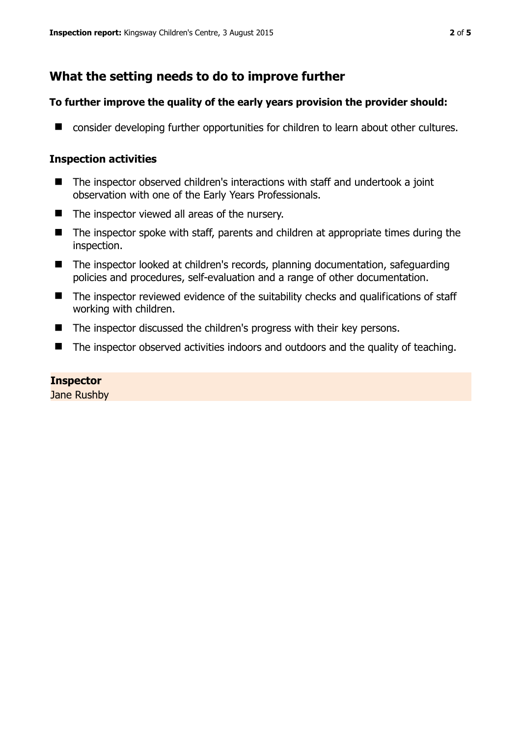## **What the setting needs to do to improve further**

#### **To further improve the quality of the early years provision the provider should:**

■ consider developing further opportunities for children to learn about other cultures.

#### **Inspection activities**

- The inspector observed children's interactions with staff and undertook a joint observation with one of the Early Years Professionals.
- $\blacksquare$  The inspector viewed all areas of the nursery.
- The inspector spoke with staff, parents and children at appropriate times during the inspection.
- The inspector looked at children's records, planning documentation, safeguarding policies and procedures, self-evaluation and a range of other documentation.
- The inspector reviewed evidence of the suitability checks and qualifications of staff working with children.
- The inspector discussed the children's progress with their key persons.
- The inspector observed activities indoors and outdoors and the quality of teaching.

#### **Inspector**

Jane Rushby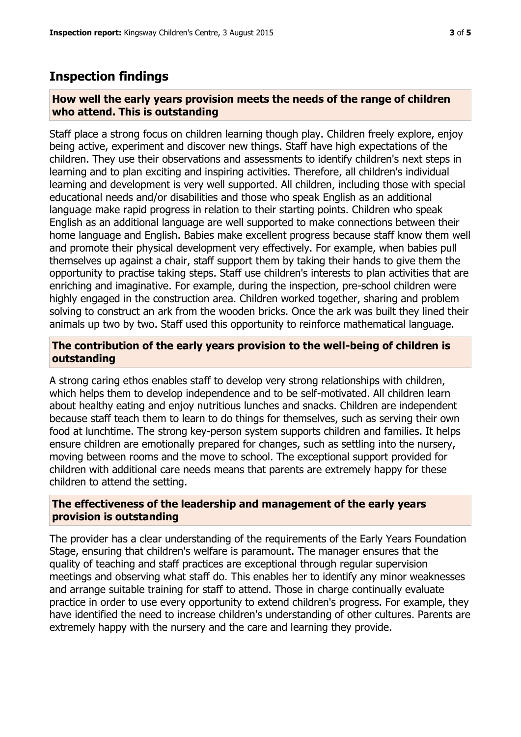### **Inspection findings**

#### **How well the early years provision meets the needs of the range of children who attend. This is outstanding**

Staff place a strong focus on children learning though play. Children freely explore, enjoy being active, experiment and discover new things. Staff have high expectations of the children. They use their observations and assessments to identify children's next steps in learning and to plan exciting and inspiring activities. Therefore, all children's individual learning and development is very well supported. All children, including those with special educational needs and/or disabilities and those who speak English as an additional language make rapid progress in relation to their starting points. Children who speak English as an additional language are well supported to make connections between their home language and English. Babies make excellent progress because staff know them well and promote their physical development very effectively. For example, when babies pull themselves up against a chair, staff support them by taking their hands to give them the opportunity to practise taking steps. Staff use children's interests to plan activities that are enriching and imaginative. For example, during the inspection, pre-school children were highly engaged in the construction area. Children worked together, sharing and problem solving to construct an ark from the wooden bricks. Once the ark was built they lined their animals up two by two. Staff used this opportunity to reinforce mathematical language.

#### **The contribution of the early years provision to the well-being of children is outstanding**

A strong caring ethos enables staff to develop very strong relationships with children, which helps them to develop independence and to be self-motivated. All children learn about healthy eating and enjoy nutritious lunches and snacks. Children are independent because staff teach them to learn to do things for themselves, such as serving their own food at lunchtime. The strong key-person system supports children and families. It helps ensure children are emotionally prepared for changes, such as settling into the nursery, moving between rooms and the move to school. The exceptional support provided for children with additional care needs means that parents are extremely happy for these children to attend the setting.

#### **The effectiveness of the leadership and management of the early years provision is outstanding**

The provider has a clear understanding of the requirements of the Early Years Foundation Stage, ensuring that children's welfare is paramount. The manager ensures that the quality of teaching and staff practices are exceptional through regular supervision meetings and observing what staff do. This enables her to identify any minor weaknesses and arrange suitable training for staff to attend. Those in charge continually evaluate practice in order to use every opportunity to extend children's progress. For example, they have identified the need to increase children's understanding of other cultures. Parents are extremely happy with the nursery and the care and learning they provide.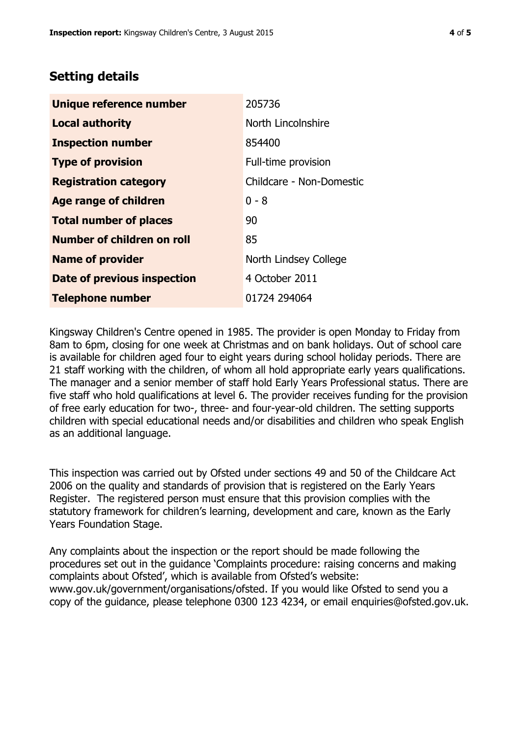## **Setting details**

| Unique reference number       | 205736                   |  |
|-------------------------------|--------------------------|--|
| <b>Local authority</b>        | North Lincolnshire       |  |
| <b>Inspection number</b>      | 854400                   |  |
| <b>Type of provision</b>      | Full-time provision      |  |
| <b>Registration category</b>  | Childcare - Non-Domestic |  |
| Age range of children         | $0 - 8$                  |  |
| <b>Total number of places</b> | 90                       |  |
| Number of children on roll    | 85                       |  |
| <b>Name of provider</b>       | North Lindsey College    |  |
| Date of previous inspection   | 4 October 2011           |  |
| <b>Telephone number</b>       | 01724 294064             |  |

Kingsway Children's Centre opened in 1985. The provider is open Monday to Friday from 8am to 6pm, closing for one week at Christmas and on bank holidays. Out of school care is available for children aged four to eight years during school holiday periods. There are 21 staff working with the children, of whom all hold appropriate early years qualifications. The manager and a senior member of staff hold Early Years Professional status. There are five staff who hold qualifications at level 6. The provider receives funding for the provision of free early education for two-, three- and four-year-old children. The setting supports children with special educational needs and/or disabilities and children who speak English as an additional language.

This inspection was carried out by Ofsted under sections 49 and 50 of the Childcare Act 2006 on the quality and standards of provision that is registered on the Early Years Register. The registered person must ensure that this provision complies with the statutory framework for children's learning, development and care, known as the Early Years Foundation Stage.

Any complaints about the inspection or the report should be made following the procedures set out in the guidance 'Complaints procedure: raising concerns and making complaints about Ofsted', which is available from Ofsted's website: www.gov.uk/government/organisations/ofsted. If you would like Ofsted to send you a copy of the guidance, please telephone 0300 123 4234, or email enquiries@ofsted.gov.uk.